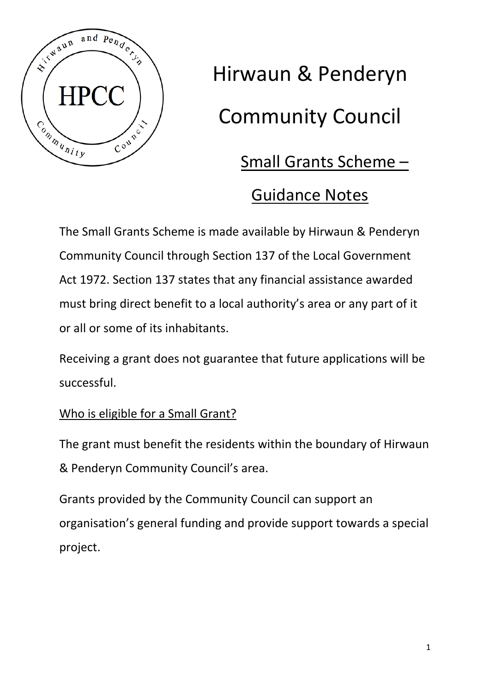

# Hirwaun & Penderyn Community Council

## Small Grants Scheme –

## Guidance Notes

The Small Grants Scheme is made available by Hirwaun & Penderyn Community Council through Section 137 of the Local Government Act 1972. Section 137 states that any financial assistance awarded must bring direct benefit to a local authority's area or any part of it or all or some of its inhabitants.

Receiving a grant does not guarantee that future applications will be successful.

### Who is eligible for a Small Grant?

The grant must benefit the residents within the boundary of Hirwaun & Penderyn Community Council's area.

Grants provided by the Community Council can support an organisation's general funding and provide support towards a special project.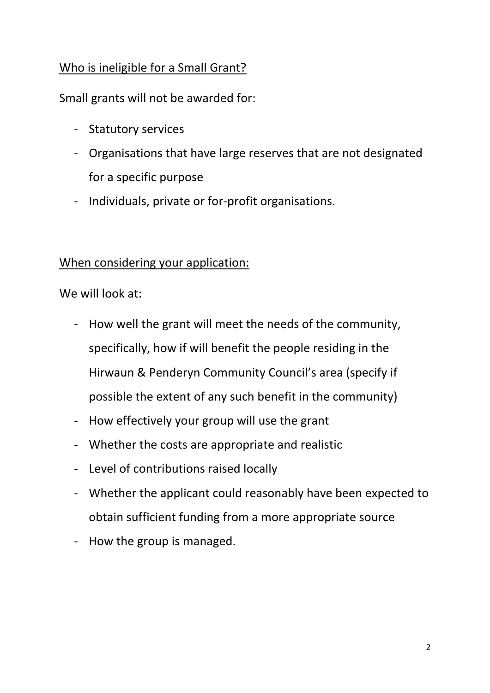#### Who is ineligible for a Small Grant?

Small grants will not be awarded for:

- Statutory services
- Organisations that have large reserves that are not designated for a specific purpose
- Individuals, private or for-profit organisations.

#### When considering your application:

We will look at:

- How well the grant will meet the needs of the community, specifically, how if will benefit the people residing in the Hirwaun & Penderyn Community Council's area (specify if possible the extent of any such benefit in the community)
- How effectively your group will use the grant
- Whether the costs are appropriate and realistic
- Level of contributions raised locally
- Whether the applicant could reasonably have been expected to obtain sufficient funding from a more appropriate source
- How the group is managed.